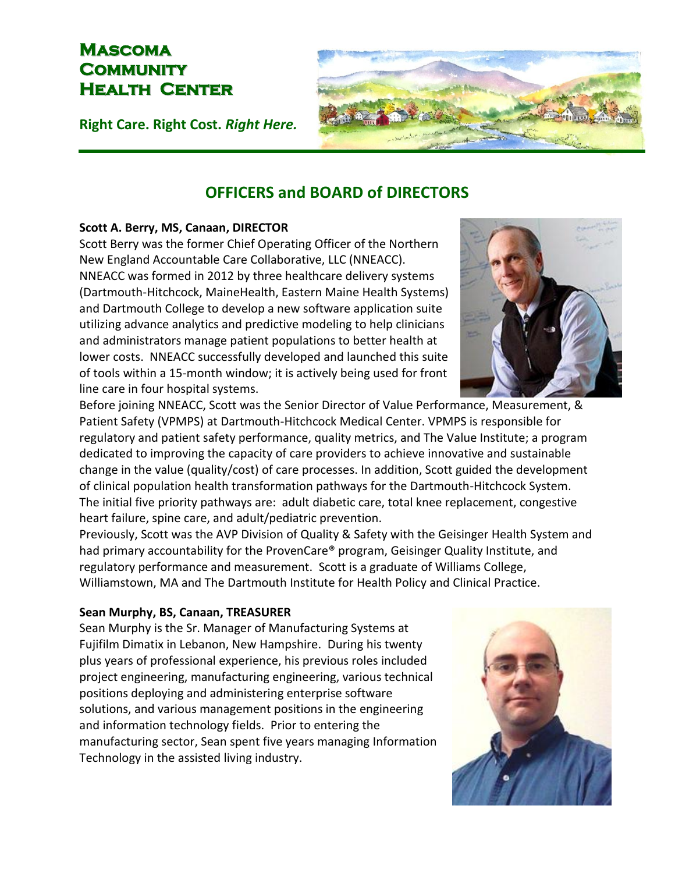## **Mascoma Community Health Center**

**Right Care. Right Cost.** *Right Here.*

# **OFFICERS and BOARD of DIRECTORS**

## **Scott A. Berry, MS, Canaan, DIRECTOR**

Scott Berry was the former Chief Operating Officer of the Northern New England Accountable Care Collaborative, LLC (NNEACC). NNEACC was formed in 2012 by three healthcare delivery systems (Dartmouth-Hitchcock, MaineHealth, Eastern Maine Health Systems) and Dartmouth College to develop a new software application suite utilizing advance analytics and predictive modeling to help clinicians and administrators manage patient populations to better health at lower costs. NNEACC successfully developed and launched this suite of tools within a 15-month window; it is actively being used for front line care in four hospital systems.

Before joining NNEACC, Scott was the Senior Director of Value Performance, Measurement, & Patient Safety (VPMPS) at Dartmouth-Hitchcock Medical Center. VPMPS is responsible for regulatory and patient safety performance, quality metrics, and The Value Institute; a program dedicated to improving the capacity of care providers to achieve innovative and sustainable change in the value (quality/cost) of care processes. In addition, Scott guided the development of clinical population health transformation pathways for the Dartmouth-Hitchcock System. The initial five priority pathways are: adult diabetic care, total knee replacement, congestive heart failure, spine care, and adult/pediatric prevention.

Previously, Scott was the AVP Division of Quality & Safety with the Geisinger Health System and had primary accountability for the ProvenCare® program, Geisinger Quality Institute, and regulatory performance and measurement. Scott is a graduate of Williams College, Williamstown, MA and The Dartmouth Institute for Health Policy and Clinical Practice.

## **Sean Murphy, BS, Canaan, TREASURER**

Sean Murphy is the Sr. Manager of Manufacturing Systems at Fujifilm Dimatix in Lebanon, New Hampshire. During his twenty plus years of professional experience, his previous roles included project engineering, manufacturing engineering, various technical positions deploying and administering enterprise software solutions, and various management positions in the engineering and information technology fields. Prior to entering the manufacturing sector, Sean spent five years managing Information Technology in the assisted living industry.





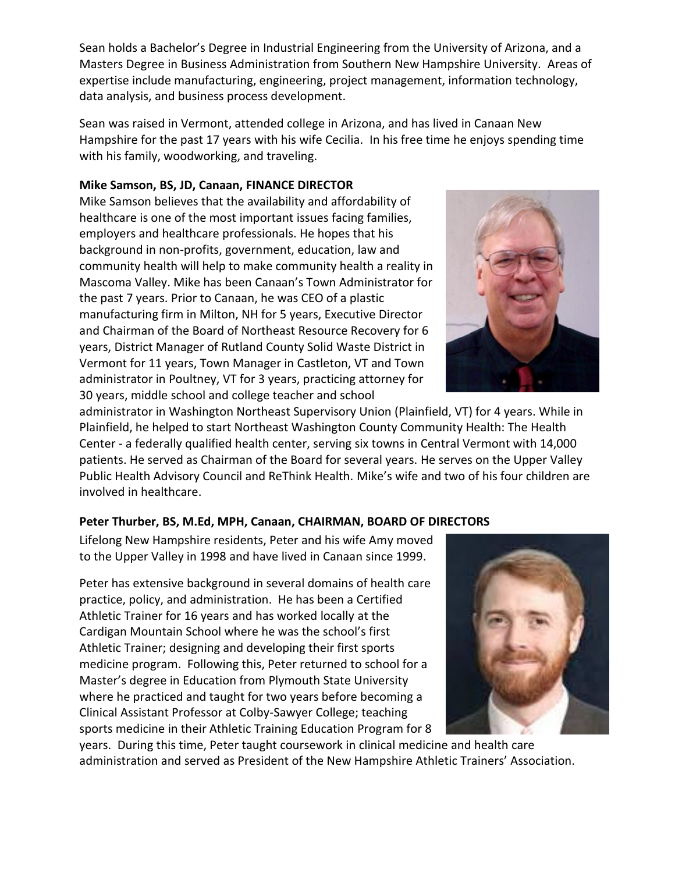Sean holds a Bachelor's Degree in Industrial Engineering from the University of Arizona, and a Masters Degree in Business Administration from Southern New Hampshire University. Areas of expertise include manufacturing, engineering, project management, information technology, data analysis, and business process development.

Sean was raised in Vermont, attended college in Arizona, and has lived in Canaan New Hampshire for the past 17 years with his wife Cecilia. In his free time he enjoys spending time with his family, woodworking, and traveling.

#### **Mike Samson, BS, JD, Canaan, FINANCE DIRECTOR**

Mike Samson believes that the availability and affordability of healthcare is one of the most important issues facing families, employers and healthcare professionals. He hopes that his background in non-profits, government, education, law and community health will help to make community health a reality in Mascoma Valley. Mike has been Canaan's Town Administrator for the past 7 years. Prior to Canaan, he was CEO of a plastic manufacturing firm in Milton, NH for 5 years, Executive Director and Chairman of the Board of Northeast Resource Recovery for 6 years, District Manager of Rutland County Solid Waste District in Vermont for 11 years, Town Manager in Castleton, VT and Town administrator in Poultney, VT for 3 years, practicing attorney for 30 years, middle school and college teacher and school

administrator in Washington Northeast Supervisory Union (Plainfield, VT) for 4 years. While in Plainfield, he helped to start Northeast Washington County Community Health: The Health Center - a federally qualified health center, serving six towns in Central Vermont with 14,000 patients. He served as Chairman of the Board for several years. He serves on the Upper Valley Public Health Advisory Council and ReThink Health. Mike's wife and two of his four children are involved in healthcare.

## **Peter Thurber, BS, M.Ed, MPH, Canaan, CHAIRMAN, BOARD OF DIRECTORS**

Lifelong New Hampshire residents, Peter and his wife Amy moved to the Upper Valley in 1998 and have lived in Canaan since 1999.

Peter has extensive background in several domains of health care practice, policy, and administration. He has been a Certified Athletic Trainer for 16 years and has worked locally at the Cardigan Mountain School where he was the school's first Athletic Trainer; designing and developing their first sports medicine program. Following this, Peter returned to school for a Master's degree in Education from Plymouth State University where he practiced and taught for two years before becoming a Clinical Assistant Professor at Colby-Sawyer College; teaching sports medicine in their Athletic Training Education Program for 8

years. During this time, Peter taught coursework in clinical medicine and health care administration and served as President of the New Hampshire Athletic Trainers' Association.



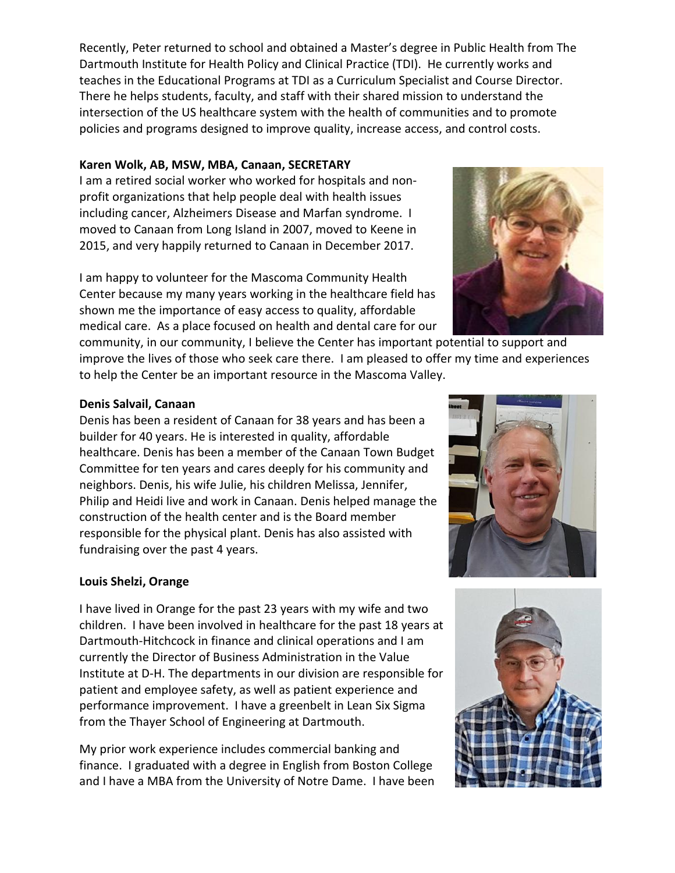Recently, Peter returned to school and obtained a Master's degree in Public Health from The Dartmouth Institute for Health Policy and Clinical Practice (TDI). He currently works and teaches in the Educational Programs at TDI as a Curriculum Specialist and Course Director. There he helps students, faculty, and staff with their shared mission to understand the intersection of the US healthcare system with the health of communities and to promote policies and programs designed to improve quality, increase access, and control costs.

#### **Karen Wolk, AB, MSW, MBA, Canaan, SECRETARY**

I am a retired social worker who worked for hospitals and nonprofit organizations that help people deal with health issues including cancer, Alzheimers Disease and Marfan syndrome. I moved to Canaan from Long Island in 2007, moved to Keene in 2015, and very happily returned to Canaan in December 2017.

I am happy to volunteer for the Mascoma Community Health Center because my many years working in the healthcare field has shown me the importance of easy access to quality, affordable medical care. As a place focused on health and dental care for our

community, in our community, I believe the Center has important potential to support and improve the lives of those who seek care there. I am pleased to offer my time and experiences to help the Center be an important resource in the Mascoma Valley.

#### **Denis Salvail, Canaan**

Denis has been a resident of Canaan for 38 years and has been a builder for 40 years. He is interested in quality, affordable healthcare. Denis has been a member of the Canaan Town Budget Committee for ten years and cares deeply for his community and neighbors. Denis, his wife Julie, his children Melissa, Jennifer, Philip and Heidi live and work in Canaan. Denis helped manage the construction of the health center and is the Board member responsible for the physical plant. Denis has also assisted with fundraising over the past 4 years.

## **Louis Shelzi, Orange**

I have lived in Orange for the past 23 years with my wife and two children. I have been involved in healthcare for the past 18 years at Dartmouth-Hitchcock in finance and clinical operations and I am currently the Director of Business Administration in the Value Institute at D-H. The departments in our division are responsible for patient and employee safety, as well as patient experience and performance improvement. I have a greenbelt in Lean Six Sigma from the Thayer School of Engineering at Dartmouth.

My prior work experience includes commercial banking and finance. I graduated with a degree in English from Boston College and I have a MBA from the University of Notre Dame. I have been





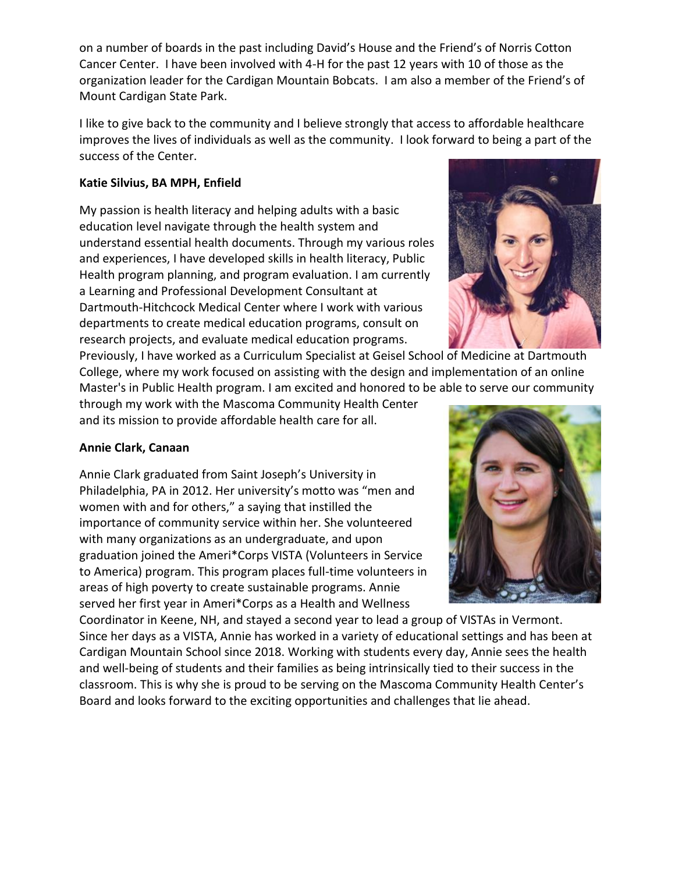on a number of boards in the past including David's House and the Friend's of Norris Cotton Cancer Center. I have been involved with 4-H for the past 12 years with 10 of those as the organization leader for the Cardigan Mountain Bobcats. I am also a member of the Friend's of Mount Cardigan State Park.

I like to give back to the community and I believe strongly that access to affordable healthcare improves the lives of individuals as well as the community. I look forward to being a part of the success of the Center.

## **Katie Silvius, BA MPH, Enfield**

My passion is health literacy and helping adults with a basic education level navigate through the health system and understand essential health documents. Through my various roles and experiences, I have developed skills in health literacy, Public Health program planning, and program evaluation. I am currently a Learning and Professional Development Consultant at Dartmouth-Hitchcock Medical Center where I work with various departments to create medical education programs, consult on research projects, and evaluate medical education programs.



Previously, I have worked as a Curriculum Specialist at Geisel School of Medicine at Dartmouth College, where my work focused on assisting with the design and implementation of an online Master's in Public Health program. I am excited and honored to be able to serve our community

through my work with the Mascoma Community Health Center and its mission to provide affordable health care for all.

## **Annie Clark, Canaan**

Annie Clark graduated from Saint Joseph's University in Philadelphia, PA in 2012. Her university's motto was "men and women with and for others," a saying that instilled the importance of community service within her. She volunteered with many organizations as an undergraduate, and upon graduation joined the Ameri\*Corps VISTA (Volunteers in Service to America) program. This program places full-time volunteers in areas of high poverty to create sustainable programs. Annie served her first year in Ameri\*Corps as a Health and Wellness



Coordinator in Keene, NH, and stayed a second year to lead a group of VISTAs in Vermont. Since her days as a VISTA, Annie has worked in a variety of educational settings and has been at Cardigan Mountain School since 2018. Working with students every day, Annie sees the health and well-being of students and their families as being intrinsically tied to their success in the classroom. This is why she is proud to be serving on the Mascoma Community Health Center's Board and looks forward to the exciting opportunities and challenges that lie ahead.